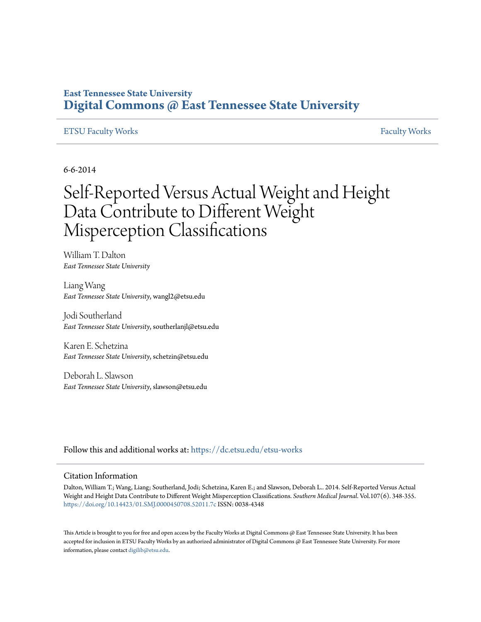# **East Tennessee State University [Digital Commons @ East Tennessee State University](https://dc.etsu.edu?utm_source=dc.etsu.edu%2Fetsu-works%2F5112&utm_medium=PDF&utm_campaign=PDFCoverPages)**

# [ETSU Faculty Works](https://dc.etsu.edu/etsu-works?utm_source=dc.etsu.edu%2Fetsu-works%2F5112&utm_medium=PDF&utm_campaign=PDFCoverPages) [Faculty Works](https://dc.etsu.edu/faculty-works?utm_source=dc.etsu.edu%2Fetsu-works%2F5112&utm_medium=PDF&utm_campaign=PDFCoverPages)

6-6-2014

# Self-Reported Versus Actual Weight and Height Data Contribute to Different Weight Misperception Classifications

William T. Dalton *East Tennessee State University*

Liang Wang *East Tennessee State University*, wangl2@etsu.edu

Jodi Southerland *East Tennessee State University*, southerlanjl@etsu.edu

Karen E. Schetzina *East Tennessee State University*, schetzin@etsu.edu

Deborah L. Slawson *East Tennessee State University*, slawson@etsu.edu

Follow this and additional works at: [https://dc.etsu.edu/etsu-works](https://dc.etsu.edu/etsu-works?utm_source=dc.etsu.edu%2Fetsu-works%2F5112&utm_medium=PDF&utm_campaign=PDFCoverPages)

### Citation Information

Dalton, William T.; Wang, Liang; Southerland, Jodi; Schetzina, Karen E.; and Slawson, Deborah L.. 2014. Self-Reported Versus Actual Weight and Height Data Contribute to Different Weight Misperception Classifications. *Southern Medical Journal*. Vol.107(6). 348-355. <https://doi.org/10.14423/01.SMJ.0000450708.52011.7c> ISSN: 0038-4348

This Article is brought to you for free and open access by the Faculty Works at Digital Commons  $\varpi$  East Tennessee State University. It has been accepted for inclusion in ETSU Faculty Works by an authorized administrator of Digital Commons @ East Tennessee State University. For more information, please contact [digilib@etsu.edu.](mailto:digilib@etsu.edu)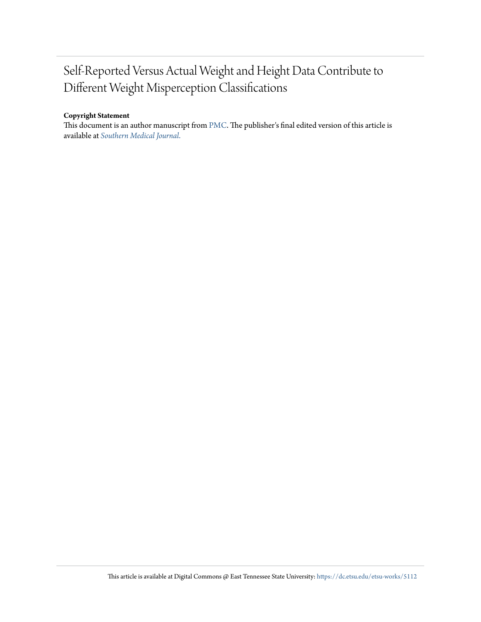# Self-Reported Versus Actual Weight and Height Data Contribute to Different Weight Misperception Classifications

# **Copyright Statement**

This document is an author manuscript from [PMC.](https://www.ncbi.nlm.nih.gov/pmc/articles/PMC4141645/) The publisher's final edited version of this article is available at *[Southern Medical Journal](https://doi.org/10.14423/01.SMJ.0000450708.52011.7c)*.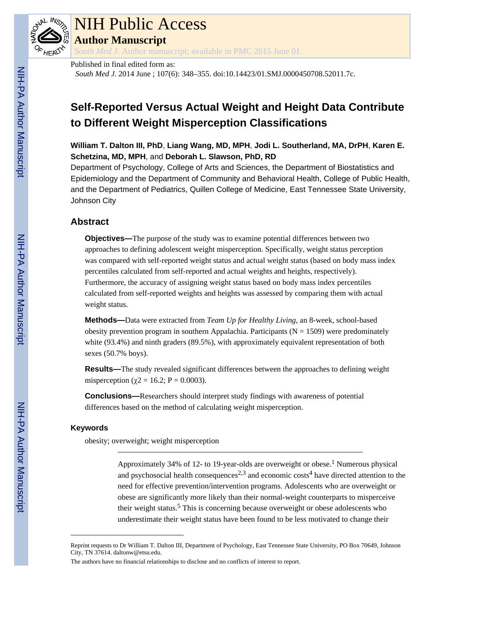

# NIH Public Access

**Author Manuscript**

*South Med J*. Author manuscript; available in PMC 2015 June 01.

Published in final edited form as: *South Med J*. 2014 June ; 107(6): 348–355. doi:10.14423/01.SMJ.0000450708.52011.7c.

# **Self-Reported Versus Actual Weight and Height Data Contribute to Different Weight Misperception Classifications**

**William T. Dalton III, PhD**, **Liang Wang, MD, MPH**, **Jodi L. Southerland, MA, DrPH**, **Karen E. Schetzina, MD, MPH**, and **Deborah L. Slawson, PhD, RD**

Department of Psychology, College of Arts and Sciences, the Department of Biostatistics and Epidemiology and the Department of Community and Behavioral Health, College of Public Health, and the Department of Pediatrics, Quillen College of Medicine, East Tennessee State University, Johnson City

# **Abstract**

**Objectives—**The purpose of the study was to examine potential differences between two approaches to defining adolescent weight misperception. Specifically, weight status perception was compared with self-reported weight status and actual weight status (based on body mass index percentiles calculated from self-reported and actual weights and heights, respectively). Furthermore, the accuracy of assigning weight status based on body mass index percentiles calculated from self-reported weights and heights was assessed by comparing them with actual weight status.

**Methods—**Data were extracted from *Team Up for Healthy Living*, an 8-week, school-based obesity prevention program in southern Appalachia. Participants ( $N = 1509$ ) were predominately white  $(93.4\%)$  and ninth graders  $(89.5\%)$ , with approximately equivalent representation of both sexes (50.7% boys).

**Results—**The study revealed significant differences between the approaches to defining weight misperception ( $\chi$ 2 = 16.2; P = 0.0003).

**Conclusions—**Researchers should interpret study findings with awareness of potential differences based on the method of calculating weight misperception.

# **Keywords**

obesity; overweight; weight misperception

Approximately 34% of 12- to 19-year-olds are overweight or obese.<sup>1</sup> Numerous physical and psychosocial health consequences<sup>2,3</sup> and economic costs<sup>4</sup> have directed attention to the need for effective prevention/intervention programs. Adolescents who are overweight or obese are significantly more likely than their normal-weight counterparts to misperceive their weight status.<sup>5</sup> This is concerning because overweight or obese adolescents who underestimate their weight status have been found to be less motivated to change their

Reprint requests to Dr William T. Dalton III, Department of Psychology, East Tennessee State University, PO Box 70649, Johnson City, TN 37614. daltonw@etsu.edu.

The authors have no financial relationships to disclose and no conflicts of interest to report.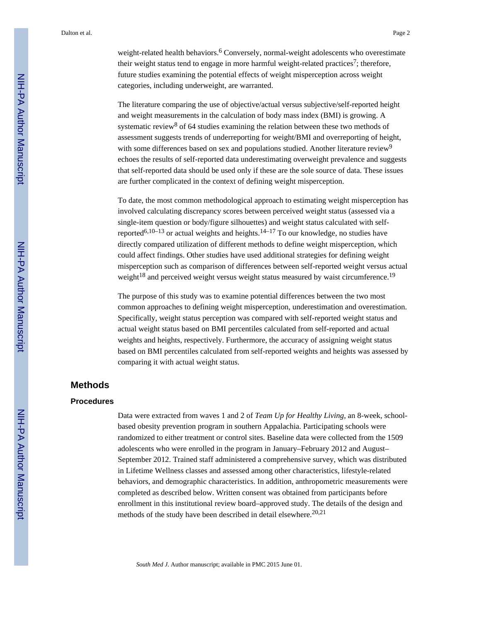weight-related health behaviors.<sup>6</sup> Conversely, normal-weight adolescents who overestimate their weight status tend to engage in more harmful weight-related practices<sup>7</sup>; therefore, future studies examining the potential effects of weight misperception across weight categories, including underweight, are warranted.

The literature comparing the use of objective/actual versus subjective/self-reported height and weight measurements in the calculation of body mass index (BMI) is growing. A systematic review<sup>8</sup> of 64 studies examining the relation between these two methods of assessment suggests trends of underreporting for weight/BMI and overreporting of height, with some differences based on sex and populations studied. Another literature review<sup>9</sup> echoes the results of self-reported data underestimating overweight prevalence and suggests that self-reported data should be used only if these are the sole source of data. These issues are further complicated in the context of defining weight misperception.

To date, the most common methodological approach to estimating weight misperception has involved calculating discrepancy scores between perceived weight status (assessed via a single-item question or body/figure silhouettes) and weight status calculated with selfreported<sup>6,10–13</sup> or actual weights and heights.<sup>14–17</sup> To our knowledge, no studies have directly compared utilization of different methods to define weight misperception, which could affect findings. Other studies have used additional strategies for defining weight misperception such as comparison of differences between self-reported weight versus actual weight<sup>18</sup> and perceived weight versus weight status measured by waist circumference.<sup>19</sup>

The purpose of this study was to examine potential differences between the two most common approaches to defining weight misperception, underestimation and overestimation. Specifically, weight status perception was compared with self-reported weight status and actual weight status based on BMI percentiles calculated from self-reported and actual weights and heights, respectively. Furthermore, the accuracy of assigning weight status based on BMI percentiles calculated from self-reported weights and heights was assessed by comparing it with actual weight status.

# **Methods**

#### **Procedures**

Data were extracted from waves 1 and 2 of *Team Up for Healthy Living*, an 8-week, schoolbased obesity prevention program in southern Appalachia. Participating schools were randomized to either treatment or control sites. Baseline data were collected from the 1509 adolescents who were enrolled in the program in January–February 2012 and August– September 2012. Trained staff administered a comprehensive survey, which was distributed in Lifetime Wellness classes and assessed among other characteristics, lifestyle-related behaviors, and demographic characteristics. In addition, anthropometric measurements were completed as described below. Written consent was obtained from participants before enrollment in this institutional review board–approved study. The details of the design and methods of the study have been described in detail elsewhere.  $20,21$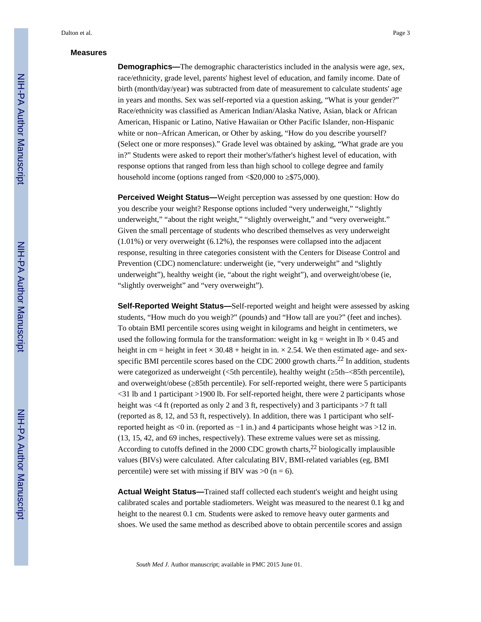# **Measures**

**Demographics—**The demographic characteristics included in the analysis were age, sex, race/ethnicity, grade level, parents' highest level of education, and family income. Date of birth (month/day/year) was subtracted from date of measurement to calculate students' age in years and months. Sex was self-reported via a question asking, "What is your gender?" Race/ethnicity was classified as American Indian/Alaska Native, Asian, black or African American, Hispanic or Latino, Native Hawaiian or Other Pacific Islander, non-Hispanic white or non–African American, or Other by asking, "How do you describe yourself? (Select one or more responses)." Grade level was obtained by asking, "What grade are you in?" Students were asked to report their mother's/father's highest level of education, with response options that ranged from less than high school to college degree and family household income (options ranged from <\$20,000 to \$75,000).

**Perceived Weight Status—**Weight perception was assessed by one question: How do you describe your weight? Response options included "very underweight," "slightly underweight," "about the right weight," "slightly overweight," and "very overweight." Given the small percentage of students who described themselves as very underweight (1.01%) or very overweight (6.12%), the responses were collapsed into the adjacent response, resulting in three categories consistent with the Centers for Disease Control and Prevention (CDC) nomenclature: underweight (ie, "very underweight" and "slightly underweight"), healthy weight (ie, "about the right weight"), and overweight/obese (ie, "slightly overweight" and "very overweight").

**Self-Reported Weight Status—**Self-reported weight and height were assessed by asking students, "How much do you weigh?" (pounds) and "How tall are you?" (feet and inches). To obtain BMI percentile scores using weight in kilograms and height in centimeters, we used the following formula for the transformation: weight in  $kg =$  weight in  $lb \times 0.45$  and height in cm = height in feet  $\times$  30.48 + height in in.  $\times$  2.54. We then estimated age- and sexspecific BMI percentile scores based on the CDC 2000 growth charts.<sup>22</sup> In addition, students were categorized as underweight (<5th percentile), healthy weight ( $5th$ –<85th percentile), and overweight/obese ( $85th$  percentile). For self-reported weight, there were 5 participants <31 lb and 1 participant >1900 lb. For self-reported height, there were 2 participants whose height was <4 ft (reported as only 2 and 3 ft, respectively) and 3 participants >7 ft tall (reported as 8, 12, and 53 ft, respectively). In addition, there was 1 participant who selfreported height as <0 in. (reported as  $-1$  in.) and 4 participants whose height was >12 in. (13, 15, 42, and 69 inches, respectively). These extreme values were set as missing. According to cutoffs defined in the 2000 CDC growth charts,  $^{22}$  biologically implausible values (BIVs) were calculated. After calculating BIV, BMI-related variables (eg, BMI percentile) were set with missing if BIV was  $>0$  (n = 6).

**Actual Weight Status—**Trained staff collected each student's weight and height using calibrated scales and portable stadiometers. Weight was measured to the nearest 0.1 kg and height to the nearest 0.1 cm. Students were asked to remove heavy outer garments and shoes. We used the same method as described above to obtain percentile scores and assign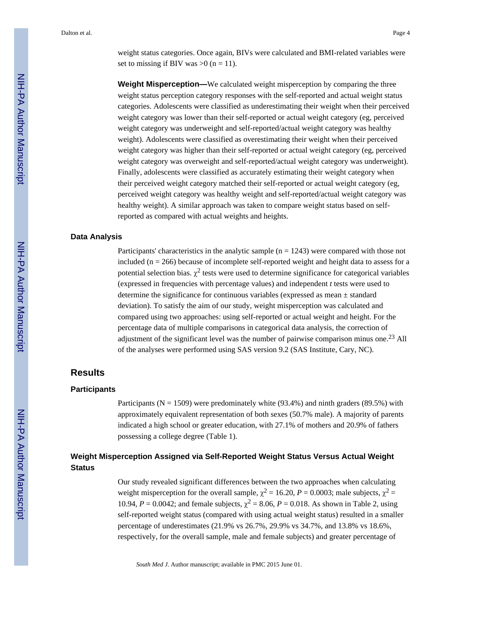Dalton et al. Page 4

weight status categories. Once again, BIVs were calculated and BMI-related variables were set to missing if BIV was  $>0$  (n = 11).

**Weight Misperception—**We calculated weight misperception by comparing the three weight status perception category responses with the self-reported and actual weight status categories. Adolescents were classified as underestimating their weight when their perceived weight category was lower than their self-reported or actual weight category (eg, perceived weight category was underweight and self-reported/actual weight category was healthy weight). Adolescents were classified as overestimating their weight when their perceived weight category was higher than their self-reported or actual weight category (eg, perceived weight category was overweight and self-reported/actual weight category was underweight). Finally, adolescents were classified as accurately estimating their weight category when their perceived weight category matched their self-reported or actual weight category (eg, perceived weight category was healthy weight and self-reported/actual weight category was healthy weight). A similar approach was taken to compare weight status based on selfreported as compared with actual weights and heights.

#### **Data Analysis**

Participants' characteristics in the analytic sample  $(n = 1243)$  were compared with those not included ( $n = 266$ ) because of incomplete self-reported weight and height data to assess for a potential selection bias.  $\chi^2$  tests were used to determine significance for categorical variables (expressed in frequencies with percentage values) and independent *t* tests were used to determine the significance for continuous variables (expressed as mean ± standard deviation). To satisfy the aim of our study, weight misperception was calculated and compared using two approaches: using self-reported or actual weight and height. For the percentage data of multiple comparisons in categorical data analysis, the correction of adjustment of the significant level was the number of pairwise comparison minus one.23 All of the analyses were performed using SAS version 9.2 (SAS Institute, Cary, NC).

# **Results**

#### **Participants**

Participants ( $N = 1509$ ) were predominately white (93.4%) and ninth graders (89.5%) with approximately equivalent representation of both sexes (50.7% male). A majority of parents indicated a high school or greater education, with 27.1% of mothers and 20.9% of fathers possessing a college degree (Table 1).

# **Weight Misperception Assigned via Self-Reported Weight Status Versus Actual Weight Status**

Our study revealed significant differences between the two approaches when calculating weight misperception for the overall sample,  $\chi^2 = 16.20$ ,  $P = 0.0003$ ; male subjects,  $\chi^2 =$ 10.94,  $P = 0.0042$ ; and female subjects,  $\chi^2 = 8.06$ ,  $P = 0.018$ . As shown in Table 2, using self-reported weight status (compared with using actual weight status) resulted in a smaller percentage of underestimates (21.9% vs 26.7%, 29.9% vs 34.7%, and 13.8% vs 18.6%, respectively, for the overall sample, male and female subjects) and greater percentage of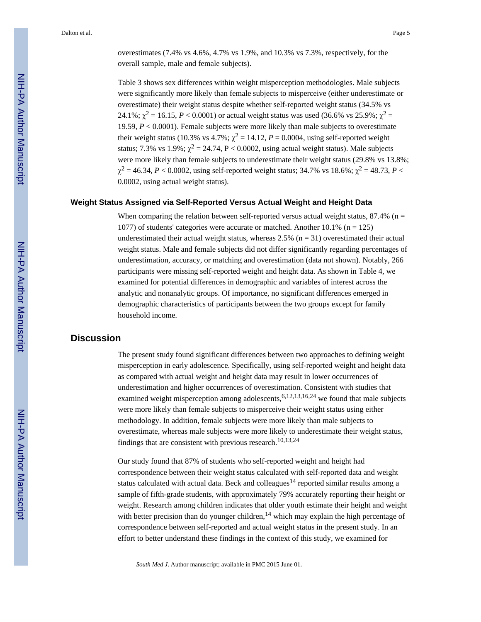overestimates (7.4% vs 4.6%, 4.7% vs 1.9%, and 10.3% vs 7.3%, respectively, for the overall sample, male and female subjects).

Table 3 shows sex differences within weight misperception methodologies. Male subjects were significantly more likely than female subjects to misperceive (either underestimate or overestimate) their weight status despite whether self-reported weight status (34.5% vs 24.1%;  $\chi^2 = 16.15$ ,  $P < 0.0001$ ) or actual weight status was used (36.6% vs 25.9%;  $\chi^2 =$ 19.59, *P* < 0.0001). Female subjects were more likely than male subjects to overestimate their weight status (10.3% vs 4.7%;  $\chi^2 = 14.12$ ,  $P = 0.0004$ , using self-reported weight status; 7.3% vs 1.9%;  $\chi^2 = 24.74$ , P < 0.0002, using actual weight status). Male subjects were more likely than female subjects to underestimate their weight status (29.8% vs 13.8%;  $\chi^2$  = 46.34, *P* < 0.0002, using self-reported weight status; 34.7% vs 18.6%;  $\chi^2$  = 48.73, *P* < 0.0002, using actual weight status).

#### **Weight Status Assigned via Self-Reported Versus Actual Weight and Height Data**

When comparing the relation between self-reported versus actual weight status,  $87.4\%$  (n = 1077) of students' categories were accurate or matched. Another 10.1% ( $n = 125$ ) underestimated their actual weight status, whereas  $2.5\%$  (n = 31) overestimated their actual weight status. Male and female subjects did not differ significantly regarding percentages of underestimation, accuracy, or matching and overestimation (data not shown). Notably, 266 participants were missing self-reported weight and height data. As shown in Table 4, we examined for potential differences in demographic and variables of interest across the analytic and nonanalytic groups. Of importance, no significant differences emerged in demographic characteristics of participants between the two groups except for family household income.

# **Discussion**

The present study found significant differences between two approaches to defining weight misperception in early adolescence. Specifically, using self-reported weight and height data as compared with actual weight and height data may result in lower occurrences of underestimation and higher occurrences of overestimation. Consistent with studies that examined weight misperception among adolescents, <sup>6,12,13,16,24</sup> we found that male subjects were more likely than female subjects to misperceive their weight status using either methodology. In addition, female subjects were more likely than male subjects to overestimate, whereas male subjects were more likely to underestimate their weight status, findings that are consistent with previous research.<sup>10,13,24</sup>

Our study found that 87% of students who self-reported weight and height had correspondence between their weight status calculated with self-reported data and weight status calculated with actual data. Beck and colleagues<sup>14</sup> reported similar results among a sample of fifth-grade students, with approximately 79% accurately reporting their height or weight. Research among children indicates that older youth estimate their height and weight with better precision than do younger children,<sup>14</sup> which may explain the high percentage of correspondence between self-reported and actual weight status in the present study. In an effort to better understand these findings in the context of this study, we examined for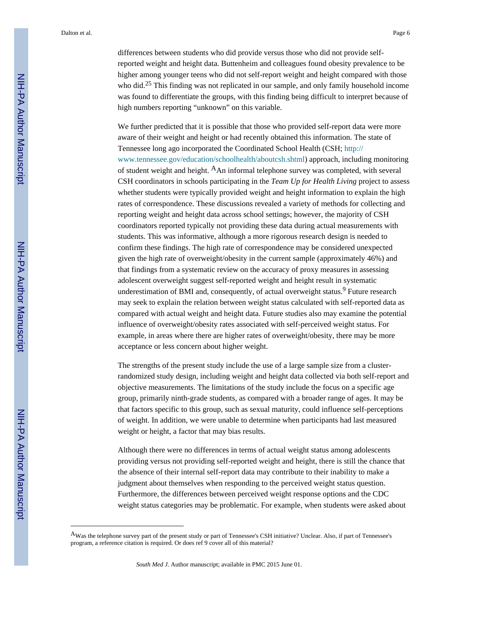Dalton et al. Page 6

differences between students who did provide versus those who did not provide selfreported weight and height data. Buttenheim and colleagues found obesity prevalence to be higher among younger teens who did not self-report weight and height compared with those who did.<sup>25</sup> This finding was not replicated in our sample, and only family household income was found to differentiate the groups, with this finding being difficult to interpret because of high numbers reporting "unknown" on this variable.

We further predicted that it is possible that those who provided self-report data were more aware of their weight and height or had recently obtained this information. The state of Tennessee long ago incorporated the Coordinated School Health (CSH; [http://](http://www.tennessee.gov/education/schoolhealth/aboutcsh.shtml) [www.tennessee.gov/education/schoolhealth/aboutcsh.shtml](http://www.tennessee.gov/education/schoolhealth/aboutcsh.shtml)) approach, including monitoring of student weight and height. <sup>A</sup>An informal telephone survey was completed, with several CSH coordinators in schools participating in the *Team Up for Health Living* project to assess whether students were typically provided weight and height information to explain the high rates of correspondence. These discussions revealed a variety of methods for collecting and reporting weight and height data across school settings; however, the majority of CSH coordinators reported typically not providing these data during actual measurements with students. This was informative, although a more rigorous research design is needed to confirm these findings. The high rate of correspondence may be considered unexpected given the high rate of overweight/obesity in the current sample (approximately 46%) and that findings from a systematic review on the accuracy of proxy measures in assessing adolescent overweight suggest self-reported weight and height result in systematic underestimation of BMI and, consequently, of actual overweight status.<sup>9</sup> Future research may seek to explain the relation between weight status calculated with self-reported data as compared with actual weight and height data. Future studies also may examine the potential influence of overweight/obesity rates associated with self-perceived weight status. For example, in areas where there are higher rates of overweight/obesity, there may be more acceptance or less concern about higher weight.

The strengths of the present study include the use of a large sample size from a clusterrandomized study design, including weight and height data collected via both self-report and objective measurements. The limitations of the study include the focus on a specific age group, primarily ninth-grade students, as compared with a broader range of ages. It may be that factors specific to this group, such as sexual maturity, could influence self-perceptions of weight. In addition, we were unable to determine when participants had last measured weight or height, a factor that may bias results.

Although there were no differences in terms of actual weight status among adolescents providing versus not providing self-reported weight and height, there is still the chance that the absence of their internal self-report data may contribute to their inability to make a judgment about themselves when responding to the perceived weight status question. Furthermore, the differences between perceived weight response options and the CDC weight status categories may be problematic. For example, when students were asked about

AWas the telephone survey part of the present study or part of Tennessee's CSH initiative? Unclear. Also, if part of Tennessee's program, a reference citation is required. Or does ref 9 cover all of this material?

*South Med J*. Author manuscript; available in PMC 2015 June 01.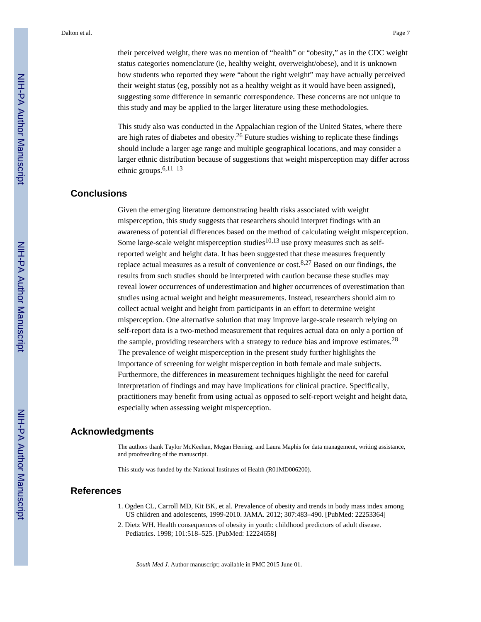their perceived weight, there was no mention of "health" or "obesity," as in the CDC weight

status categories nomenclature (ie, healthy weight, overweight/obese), and it is unknown how students who reported they were "about the right weight" may have actually perceived their weight status (eg, possibly not as a healthy weight as it would have been assigned), suggesting some difference in semantic correspondence. These concerns are not unique to this study and may be applied to the larger literature using these methodologies.

This study also was conducted in the Appalachian region of the United States, where there are high rates of diabetes and obesity.<sup>26</sup> Future studies wishing to replicate these findings should include a larger age range and multiple geographical locations, and may consider a larger ethnic distribution because of suggestions that weight misperception may differ across ethnic groups.6,11–13

# **Conclusions**

Given the emerging literature demonstrating health risks associated with weight misperception, this study suggests that researchers should interpret findings with an awareness of potential differences based on the method of calculating weight misperception. Some large-scale weight misperception studies $10,13$  use proxy measures such as selfreported weight and height data. It has been suggested that these measures frequently replace actual measures as a result of convenience or cost.8,27 Based on our findings, the results from such studies should be interpreted with caution because these studies may reveal lower occurrences of underestimation and higher occurrences of overestimation than studies using actual weight and height measurements. Instead, researchers should aim to collect actual weight and height from participants in an effort to determine weight misperception. One alternative solution that may improve large-scale research relying on self-report data is a two-method measurement that requires actual data on only a portion of the sample, providing researchers with a strategy to reduce bias and improve estimates.<sup>28</sup> The prevalence of weight misperception in the present study further highlights the importance of screening for weight misperception in both female and male subjects. Furthermore, the differences in measurement techniques highlight the need for careful interpretation of findings and may have implications for clinical practice. Specifically, practitioners may benefit from using actual as opposed to self-report weight and height data, especially when assessing weight misperception.

# **Acknowledgments**

The authors thank Taylor McKeehan, Megan Herring, and Laura Maphis for data management, writing assistance, and proofreading of the manuscript.

This study was funded by the National Institutes of Health (R01MD006200).

### **References**

- 1. Ogden CL, Carroll MD, Kit BK, et al. Prevalence of obesity and trends in body mass index among US children and adolescents, 1999-2010. JAMA. 2012; 307:483–490. [PubMed: 22253364]
- 2. Dietz WH. Health consequences of obesity in youth: childhood predictors of adult disease. Pediatrics. 1998; 101:518–525. [PubMed: 12224658]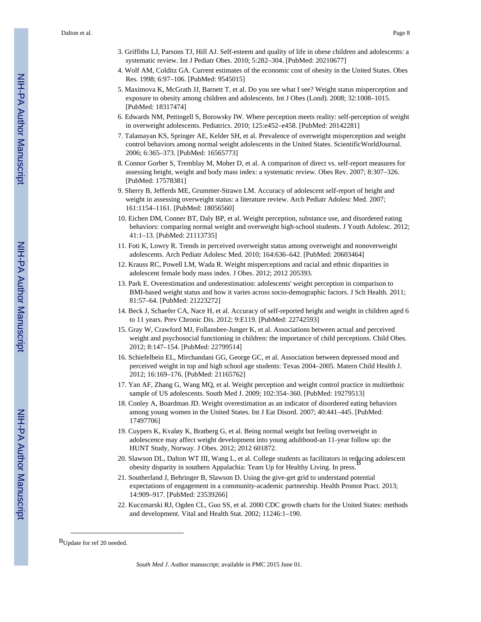- 3. Griffiths LJ, Parsons TJ, Hill AJ. Self-esteem and quality of life in obese children and adolescents: a systematic review. Int J Pediatr Obes. 2010; 5:282–304. [PubMed: 20210677]
- 4. Wolf AM, Colditz GA. Current estimates of the economic cost of obesity in the United States. Obes Res. 1998; 6:97–106. [PubMed: 9545015]
- 5. Maximova K, McGrath JJ, Barnett T, et al. Do you see what I see? Weight status misperception and exposure to obesity among children and adolescents. Int J Obes (Lond). 2008; 32:1008–1015. [PubMed: 18317474]
- 6. Edwards NM, Pettingell S, Borowsky IW. Where perception meets reality: self-perception of weight in overweight adolescents. Pediatrics. 2010; 125:e452–e458. [PubMed: 20142281]
- 7. Talamayan KS, Springer AE, Kelder SH, et al. Prevalence of overweight misperception and weight control behaviors among normal weight adolescents in the United States. ScientificWorldJournal. 2006; 6:365–373. [PubMed: 16565773]
- 8. Connor Gorber S, Tremblay M, Moher D, et al. A comparison of direct vs. self-report measures for assessing height, weight and body mass index: a systematic review. Obes Rev. 2007; 8:307–326. [PubMed: 17578381]
- 9. Sherry B, Jefferds ME, Grummer-Strawn LM. Accuracy of adolescent self-report of height and weight in assessing overweight status: a literature review. Arch Pediatr Adolesc Med. 2007; 161:1154–1161. [PubMed: 18056560]
- 10. Eichen DM, Conner BT, Daly BP, et al. Weight perception, substance use, and disordered eating behaviors: comparing normal weight and overweight high-school students. J Youth Adolesc. 2012; 41:1–13. [PubMed: 21113735]
- 11. Foti K, Lowry R. Trends in perceived overweight status among overweight and nonoverweight adolescents. Arch Pediatr Adolesc Med. 2010; 164:636–642. [PubMed: 20603464]
- 12. Krauss RC, Powell LM, Wada R. Weight misperceptions and racial and ethnic disparities in adolescent female body mass index. J Obes. 2012; 2012 205393.
- 13. Park E. Overestimation and underestimation: adolescents' weight perception in comparison to BMI-based weight status and how it varies across socio-demographic factors. J Sch Health. 2011; 81:57–64. [PubMed: 21223272]
- 14. Beck J, Schaefer CA, Nace H, et al. Accuracy of self-reported height and weight in children aged 6 to 11 years. Prev Chronic Dis. 2012; 9:E119. [PubMed: 22742593]
- 15. Gray W, Crawford MJ, Follansbee-Junger K, et al. Associations between actual and perceived weight and psychosocial functioning in children: the importance of child perceptions. Child Obes. 2012; 8:147–154. [PubMed: 22799514]
- 16. Schiefelbein EL, Mirchandani GG, George GC, et al. Association between depressed mood and perceived weight in top and high school age students: Texas 2004–2005. Matern Child Health J. 2012; 16:169–176. [PubMed: 21165762]
- 17. Yan AF, Zhang G, Wang MQ, et al. Weight perception and weight control practice in multiethnic sample of US adolescents. South Med J. 2009; 102:354–360. [PubMed: 19279513]
- 18. Conley A, Boardman JD. Weight overestimation as an indicator of disordered eating behaviors among young women in the United States. Int J Eat Disord. 2007; 40:441–445. [PubMed: 17497706]
- 19. Cuypers K, Kvaløy K, Bratberg G, et al. Being normal weight but feeling overweight in adolescence may affect weight development into young adulthood-an 11-year follow up: the HUNT Study, Norway. J Obes. 2012; 2012 601872.
- 20. Slawson DL, Dalton WT III, Wang L, et al. College students as facilitators in reducing adolescent obesity disparity in southern Appalachia: Team Up for Healthy Living. In press.
- 21. Southerland J, Behringer B, Slawson D. Using the give-get grid to understand potential expectations of engagement in a community-academic partnership. Health Promot Pract. 2013; 14:909–917. [PubMed: 23539266]
- 22. Kuczmarski RJ, Ogden CL, Guo SS, et al. 2000 CDC growth charts for the United States: methods and development. Vital and Health Stat. 2002; 11246:1–190.

B<sub>Update</sub> for ref 20 needed.

*South Med J*. Author manuscript; available in PMC 2015 June 01.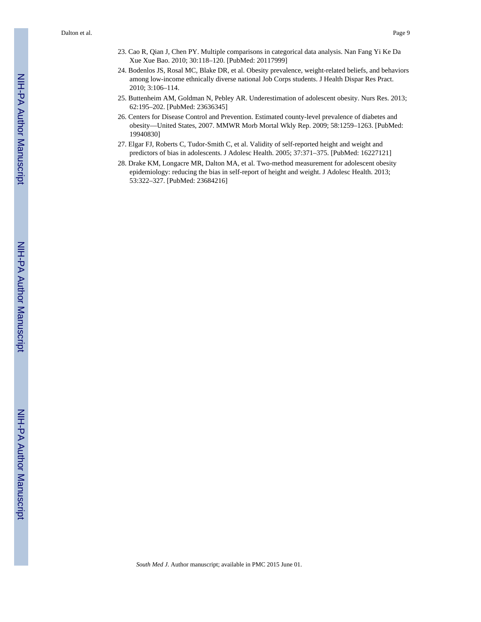- 23. Cao R, Qian J, Chen PY. Multiple comparisons in categorical data analysis. Nan Fang Yi Ke Da Xue Xue Bao. 2010; 30:118–120. [PubMed: 20117999]
- 24. Bodenlos JS, Rosal MC, Blake DR, et al. Obesity prevalence, weight-related beliefs, and behaviors among low-income ethnically diverse national Job Corps students. J Health Dispar Res Pract. 2010; 3:106–114.
- 25. Buttenheim AM, Goldman N, Pebley AR. Underestimation of adolescent obesity. Nurs Res. 2013; 62:195–202. [PubMed: 23636345]
- 26. Centers for Disease Control and Prevention. Estimated county-level prevalence of diabetes and obesity—United States, 2007. MMWR Morb Mortal Wkly Rep. 2009; 58:1259–1263. [PubMed: 19940830]
- 27. Elgar FJ, Roberts C, Tudor-Smith C, et al. Validity of self-reported height and weight and predictors of bias in adolescents. J Adolesc Health. 2005; 37:371–375. [PubMed: 16227121]
- 28. Drake KM, Longacre MR, Dalton MA, et al. Two-method measurement for adolescent obesity epidemiology: reducing the bias in self-report of height and weight. J Adolesc Health. 2013; 53:322–327. [PubMed: 23684216]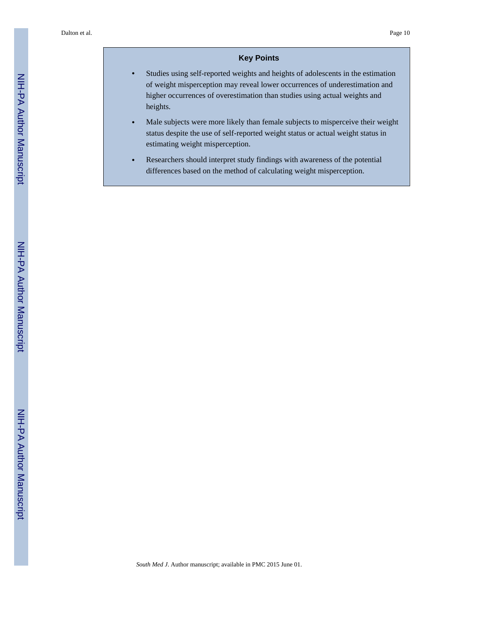# **Key Points**

- **•** Studies using self-reported weights and heights of adolescents in the estimation of weight misperception may reveal lower occurrences of underestimation and higher occurrences of overestimation than studies using actual weights and heights.
- **•** Male subjects were more likely than female subjects to misperceive their weight status despite the use of self-reported weight status or actual weight status in estimating weight misperception.
- **•** Researchers should interpret study findings with awareness of the potential differences based on the method of calculating weight misperception.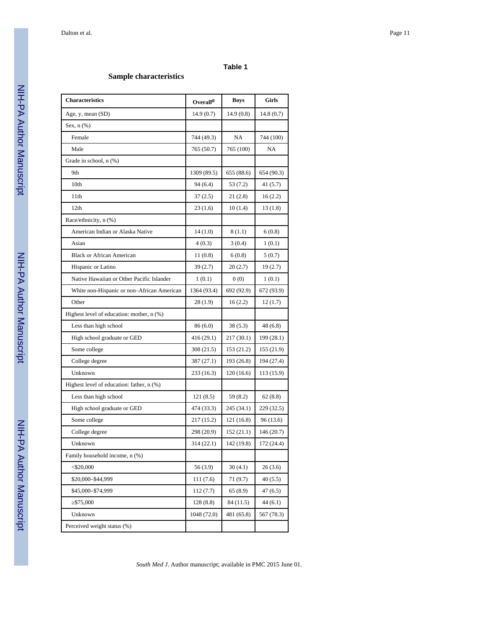### **Table 1**

# **Sample characteristics**

| <b>Characteristics</b>                     | Overall $^a$ | Boys       | Girls      |
|--------------------------------------------|--------------|------------|------------|
| Age, y, mean (SD)                          | 14.9(0.7)    | 14.9(0.8)  | 14.8 (0.7) |
| Sex, n (%)                                 |              |            |            |
| Female                                     | 744 (49.3)   | NA         | 744 (100)  |
| Male                                       | 765 (50.7)   | 765 (100)  | NA         |
| Grade in school, n (%)                     |              |            |            |
| 9th                                        | 1309 (89.5)  | 655 (88.6) | 654 (90.3) |
| 10th                                       | 94(6.4)      | 53 (7.2)   | 41 (5.7)   |
| 11th                                       | 37 (2.5)     | 21(2.8)    | 16(2.2)    |
| 12th                                       | 23 (1.6)     | 10(1.4)    | 13 (1.8)   |
| Race/ethnicity, n (%)                      |              |            |            |
| American Indian or Alaska Native           | 14 (1.0)     | 8 (1.1)    | 6(0.8)     |
| Asian                                      | 4(0.3)       | 3(0.4)     | 1(0.1)     |
| <b>Black or African American</b>           | 11(0.8)      | 6(0.8)     | 5(0.7)     |
| Hispanic or Latino                         | 39 (2.7)     | 20(2.7)    | 19 (2.7)   |
| Native Hawaiian or Other Pacific Islander  | 1(0.1)       | 0(0)       | 1(0.1)     |
| White non-Hispanic or non-African American | 1364 (93.4)  | 692 (92.9) | 672 (93.9) |
| Other                                      | 28 (1.9)     | 16(2.2)    | 12(1.7)    |
| Highest level of education: mother, n (%)  |              |            |            |
| Less than high school                      | 86 (6.0)     | 38 (5.3)   | 48 (6.8)   |
| High school graduate or GED                | 416 (29.1)   | 217 (30.1) | 199 (28.1) |
| Some college                               | 308 (21.5)   | 153 (21.2) | 155 (21.9) |
| College degree                             | 387 (27.1)   | 193 (26.8) | 194 (27.4) |
| Unknown                                    | 233 (16.3)   | 120 (16.6) | 113 (15.9) |
| Highest level of education: father, n (%)  |              |            |            |
| Less than high school                      | 121 (8.5)    | 59 (8.2)   | 62(8.8)    |
| High school graduate or GED                | 474 (33.3)   | 245 (34.1) | 229 (32.5) |
| Some college                               | 217 (15.2)   | 121 (16.8) | 96 (13.6)  |
| College degree                             | 298 (20.9)   | 152 (21.1) | 146 (20.7) |
| Unknown                                    | 314 (22.1)   | 142 (19.8) | 172 (24.4) |
| Family household income, n (%)             |              |            |            |
| $<$ \$20,000                               | 56 (3.9)     | 30(4.1)    | 26(3.6)    |
| \$20,000-\$44,999                          | 111 (7.6)    | 71 (9.7)   | 40 (5.5)   |
| \$45,000-\$74,999                          | 112(7.7)     | 65 (8.9)   | 47 (6.5)   |
| \$75,000                                   | 128 (8.8)    | 84 (11.5)  | 44 (6.1)   |
| Unknown                                    | 1048 (72.0)  | 481 (65.8) | 567 (78.3) |
| Perceived weight status (%)                |              |            |            |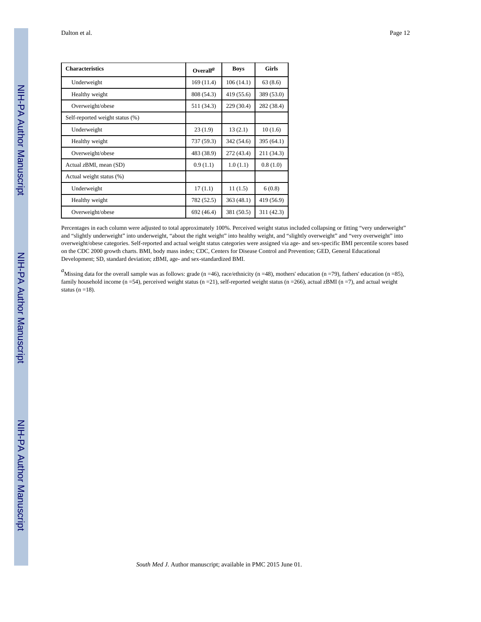| <b>Characteristics</b>          | Overall <sup>a</sup> | <b>Boys</b> | <b>Girls</b> |
|---------------------------------|----------------------|-------------|--------------|
| Underweight                     | 169(11.4)            | 106(14.1)   | 63(8.6)      |
| Healthy weight                  | 808 (54.3)           | 419 (55.6)  | 389 (53.0)   |
| Overweight/obese                | 511 (34.3)           | 229 (30.4)  | 282 (38.4)   |
| Self-reported weight status (%) |                      |             |              |
| Underweight                     | 23(1.9)              | 13(2.1)     | 10(1.6)      |
| Healthy weight                  | 737 (59.3)           | 342 (54.6)  | 395 (64.1)   |
| Overweight/obese                | 483 (38.9)           | 272 (43.4)  | 211 (34.3)   |
| Actual $z$ BMI, mean $(SD)$     | 0.9(1.1)             | 1.0(1.1)    | 0.8(1.0)     |
| Actual weight status (%)        |                      |             |              |
| Underweight                     | 17(1.1)              | 11(1.5)     | 6(0.8)       |
| Healthy weight                  | 782 (52.5)           | 363 (48.1)  | 419 (56.9)   |
| Overweight/obese                | 692 (46.4)           | 381 (50.5)  | 311 (42.3)   |

Percentages in each column were adjusted to total approximately 100%. Perceived weight status included collapsing or fitting "very underweight" and "slightly underweight" into underweight, "about the right weight" into healthy weight, and "slightly overweight" and "very overweight" into overweight/obese categories. Self-reported and actual weight status categories were assigned via age- and sex-specific BMI percentile scores based on the CDC 2000 growth charts. BMI, body mass index; CDC, Centers for Disease Control and Prevention; GED, General Educational Development; SD, standard deviation; zBMI, age- and sex-standardized BMI.

<sup>*a*</sup>Missing data for the overall sample was as follows: grade (n =46), race/ethnicity (n =48), mothers' education (n =79), fathers' education (n =85), family household income (n =54), perceived weight status (n =21), self-reported weight status (n =266), actual zBMI (n =7), and actual weight status ( $n = 18$ ).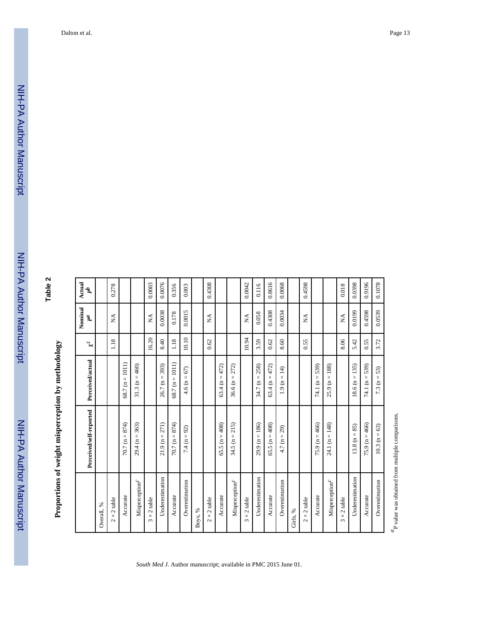Proportions of weight misperception by methodology **Proportions of weight misperception by methodology**

**Table 2**

|                                              | Perceived/self-reported                       | Perceived/actual                                  | پر    | Nominal<br>$\mathbf{p}$   | Actual<br>Ŕ |
|----------------------------------------------|-----------------------------------------------|---------------------------------------------------|-------|---------------------------|-------------|
| Overall, %                                   |                                               |                                                   |       |                           |             |
| $2 \times 2$ table                           |                                               |                                                   | 1.18  | ÁX                        | 0.278       |
| Accurate                                     | 874)<br>$\left\vert {}\right\vert$<br>70.7(n) | $= 1011$<br>58.7 (n                               |       |                           |             |
| Misperception <sup>C</sup>                   | 363)<br>$\left\vert {}\right\vert$<br>29.4(n  | $31.3(n = 460)$                                   |       |                           |             |
| $\times$ 2 table<br>$\infty$                 |                                               |                                                   | 16.20 | $\lessapprox$             | 0.0003      |
| Underestimation                              | 271)<br>$\vert\vert$<br>21.9(n)               | 393)<br>$\vert\vert$<br>26.7 (n                   | 8.40  | 0.0038                    | 0.0076      |
| Accurate                                     | $= 874$<br>70.7 (n                            | $68.7 (n = 1011)$                                 | 1.18  | 0.178                     | 0.356       |
| Overestimation                               | 7.4 ( $n = 92$ )                              | 67)<br>$4.6(n =$                                  | 10.10 | 0.0015                    | 0.003       |
| Boys, %                                      |                                               |                                                   |       |                           |             |
| $\times$ 2 table<br>$\sim$                   |                                               |                                                   | 0.62  | $\mathbb{X}^{\mathsf{A}}$ | 0.4308      |
| Accurate                                     | 408)<br>$\vert\vert$<br>65.5(n)               | 472)<br>$\vert\vert$<br>63.4(n)                   |       |                           |             |
| Misperception <sup>c</sup>                   | $= 215$<br>34.5 (n                            | 272)<br>$36.6 (n =$                               |       |                           |             |
| $\times$ 2 table<br>$\infty$                 |                                               |                                                   | 10.94 | $\lesssim$                | 0.0042      |
| Underestimation                              | $29.9(n = 186)$                               | 258)<br>34.7 ( $n =$                              | 3.59  | 0.058                     | 0.116       |
| Accurate                                     | 408)<br>$\vert\vert$<br>65.5(n)               | 472)<br>$\mathop{\rm II}\nolimits$<br>63.4(n)     | 0.62  | 0.4308                    | 0.8616      |
| Overestimation                               | $= 29$<br>4.7(n)                              | $=14$<br>1.9(n)                                   | 8.60  | 0.0034                    | 0.0068      |
| Girls, %                                     |                                               |                                                   |       |                           |             |
| $\times$ 2 table<br>$\overline{\mathcal{C}}$ |                                               |                                                   | 0.55  | É                         | 0.4598      |
| Accurate                                     | $=466$<br>75.9 (n                             | 539)<br>$\vert\vert$<br>74.1 (n                   |       |                           |             |
| Misperception <sup>c</sup>                   | $= 148$<br>24.1 (n                            | 188)<br>$\vert\vert$<br>25.9(n                    |       |                           |             |
| $\times$ 2 table<br>$\infty$                 |                                               |                                                   | 8.06  | $\mathbb{X}^{\mathsf{A}}$ | 0.018       |
| Underestimation                              | $13.8(n = 85)$                                | 135)<br>$\left\vert \cdot \right\vert$<br>18.6 (n | 5.42  | 0.0199                    | 0.0398      |
| Accurate                                     | $75.9(n = 466)$                               | 539)<br>74.1 ( $n =$                              | 0.55  | 0.4598                    | 0.9196      |
| Overestimation                               | $10.3(n = 63)$                                | 53)<br>7.3 $(n =$                                 | 3.72  | 0.0539                    | 0.1078      |
|                                              |                                               |                                                   |       |                           |             |

 ${}^{d}\!P$  value was obtained from multiple comparisons. *a*P value was obtained from multiple comparisons.

*South Med J*. Author manuscript; available in PMC 2015 June 01.

Dalton et al. Page 13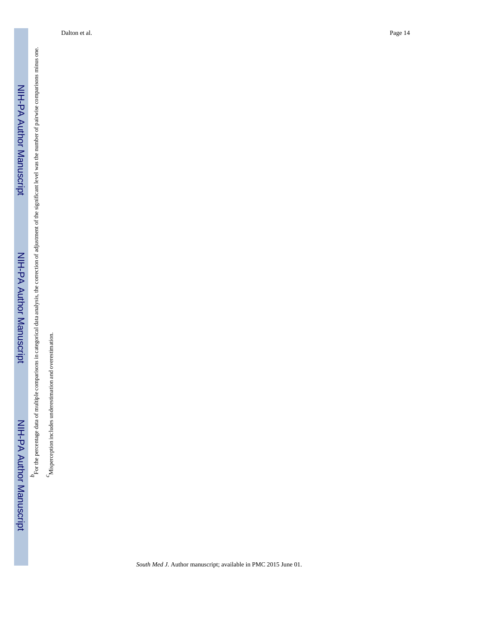$P$  or the percentage data of multiple comparisons in categorical data analysis, the correction of adjustment of the significant level was the number of pairwise comparisons minus one. *P*<sub>For the percentage data of multiple comparisons in categorical data analysis, the correction of adjustment of the significant level was the number of pairwise comparisons minus one.</sub>

 $\emph{c}$  Misperception includes underestimation and overestimation. *c*Misperception includes underestimation and overestimation.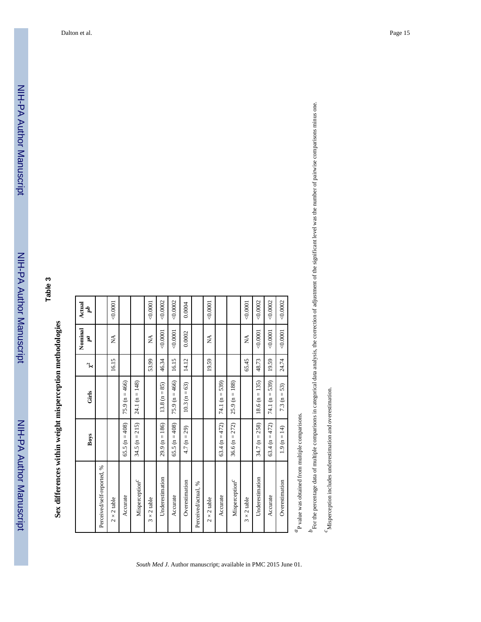| I<br>in the control of the control of the control of the control of the control of the control of the control of th<br>$\ddot{\phantom{a}}$ |
|---------------------------------------------------------------------------------------------------------------------------------------------|
| Ĺ<br>ſ<br>֧֚֝<br>֧֚֚֚֚֚֝֝֝֝<br>֧ <u>֓</u>                                                                                                   |
| <b>C</b><br><br>١                                                                                                                           |
|                                                                                                                                             |
| i<br>Canada                                                                                                                                 |
| i<br>i<br>Š<br>l                                                                                                                            |

|                            | Boys               | Girls              | ř     | Nominal<br>Å | Actual<br>Ĺ |
|----------------------------|--------------------|--------------------|-------|--------------|-------------|
| Perceived/self-reported, % |                    |                    |       |              |             |
| $2 \times 2$ table         |                    |                    | 16.15 | Ź            | 0.0001      |
| Accurate                   | 65.5 ( $n = 408$ ) | 75.9 ( $n = 466$ ) |       |              |             |
| Misperception <sup>c</sup> | $34.5 (n = 215)$   | 24.1 ( $n = 148$ ) |       |              |             |
| $3 \times 2$ table         |                    |                    | 53.99 | Ź            | 0.0001      |
| Underestimation            | $29.9(n = 186)$    | $13.8(n = 85)$     | 46.34 | 0.0001       | 0.0002      |
| Accurate                   | 65.5 ( $n = 408$ ) | 75.9 ( $n = 466$ ) | 16.15 | $-0.0001$    | 0.0002      |
| Overestimation             | $4.7 (n = 29)$     | $10.3 (n = 63)$    | 14.12 | 0.0002       | 0.0004      |
| Perceived/actual, %        |                    |                    |       |              |             |
| $2 \times 2$ table         |                    |                    | 19.59 | Ź            | $-0.0001$   |
| Accurate                   | 63.4 ( $n = 472$ ) | 74.1 ( $n = 539$ ) |       |              |             |
| Misperception <sup>c</sup> | 36.6 ( $n = 272$ ) | $25.9 (n = 188)$   |       |              |             |
| $3 \times 2$ table         |                    |                    | 65.45 | Ź            | 0.0001      |
| Underestimation            | 34.7 ( $n = 258$ ) | $18.6 (n = 135)$   | 48.73 | 0.0001       | 0.0002      |
| Accurate                   | 63.4 ( $n = 472$ ) | 74.1 ( $n = 539$ ) | 19.59 | 0.0001       | 0.0002      |
| Overestimation             | $1.9(n = 14)$      | 7.3 ( $n = 53$ )   | 24.74 | 0.0001       | 0.0002      |
|                            |                    |                    |       |              |             |

 $\alpha$   $_{\rm P}$  value was obtained from multiple comparisons. *a*P value was obtained from multiple comparisons.

 $^b$ For the percentage data of multiple comparisons in categorical data analysis, the correction of adjustment of the significant level was the number of pairwise comparisons minus one. *P*<sub>For the percentage data of multiple comparisons in categorical data analysis, the correction of adjustment of the significant level was the number of pairwise comparisons minus one.</sub>

 $^{\rm c}$  Misperception includes underestimation and overestimation. *c*Misperception includes underestimation and overestimation.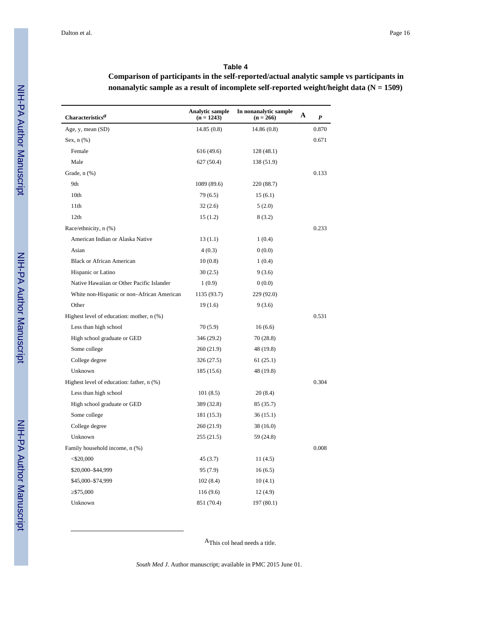# **Table 4**

**Comparison of participants in the self-reported/actual analytic sample vs participants in nonanalytic sample as a result of incomplete self-reported weight/height data (N = 1509)**

| Characteristics <sup>a</sup>               | <b>Analytic sample</b><br>$(n = 1243)$ | In nonanalytic sample<br>$(n = 266)$ | A | P     |
|--------------------------------------------|----------------------------------------|--------------------------------------|---|-------|
| Age, y, mean (SD)                          | 14.85(0.8)                             | 14.86(0.8)                           |   | 0.870 |
| Sex, $n$ $(\%)$                            |                                        |                                      |   | 0.671 |
| Female                                     | 616 (49.6)                             | 128 (48.1)                           |   |       |
| Male                                       | 627 (50.4)                             | 138 (51.9)                           |   |       |
| Grade, n (%)                               |                                        |                                      |   | 0.133 |
| 9th                                        | 1089(89.6)                             | 220 (88.7)                           |   |       |
| 10 <sub>th</sub>                           | 79 (6.5)                               | 15(6.1)                              |   |       |
| 11th                                       | 32(2.6)                                | 5(2.0)                               |   |       |
| 12th                                       | 15(1.2)                                | 8(3.2)                               |   |       |
| Race/ethnicity, n (%)                      |                                        |                                      |   | 0.233 |
| American Indian or Alaska Native           | 13(1.1)                                | 1(0.4)                               |   |       |
| Asian                                      | 4(0.3)                                 | 0(0.0)                               |   |       |
| <b>Black or African American</b>           | 10(0.8)                                | 1(0.4)                               |   |       |
| Hispanic or Latino                         | 30(2.5)                                | 9(3.6)                               |   |       |
| Native Hawaiian or Other Pacific Islander  | 1(0.9)                                 | 0(0.0)                               |   |       |
| White non-Hispanic or non-African American | 1135 (93.7)                            | 229 (92.0)                           |   |       |
| Other                                      | 19(1.6)                                | 9(3.6)                               |   |       |
| Highest level of education: mother, n (%)  |                                        |                                      |   | 0.531 |
| Less than high school                      | 70(5.9)                                | 16(6.6)                              |   |       |
| High school graduate or GED                | 346 (29.2)                             | 70 (28.8)                            |   |       |
| Some college                               | 260 (21.9)                             | 48 (19.8)                            |   |       |
| College degree                             | 326 (27.5)                             | 61(25.1)                             |   |       |
| Unknown                                    | 185(15.6)                              | 48 (19.8)                            |   |       |
| Highest level of education: father, n (%)  |                                        |                                      |   | 0.304 |
| Less than high school                      | 101(8.5)                               | 20(8.4)                              |   |       |
| High school graduate or GED                | 389 (32.8)                             | 85 (35.7)                            |   |       |
| Some college                               | 181 (15.3)                             | 36 (15.1)                            |   |       |
| College degree                             | 260 (21.9)                             | 38 (16.0)                            |   |       |
| Unknown                                    | 255(21.5)                              | 59 (24.8)                            |   |       |
| Family household income, n (%)             |                                        |                                      |   | 0.008 |
| $<$ \$20,000                               | 45(3.7)                                | 11(4.5)                              |   |       |
| \$20,000-\$44,999                          | 95 (7.9)                               | 16(6.5)                              |   |       |
| \$45,000-\$74,999                          | 102(8.4)                               | 10(4.1)                              |   |       |
| \$75,000                                   | 116(9.6)                               | 12(4.9)                              |   |       |
| Unknown                                    | 851 (70.4)                             | 197 (80.1)                           |   |       |

AThis col head needs a title.